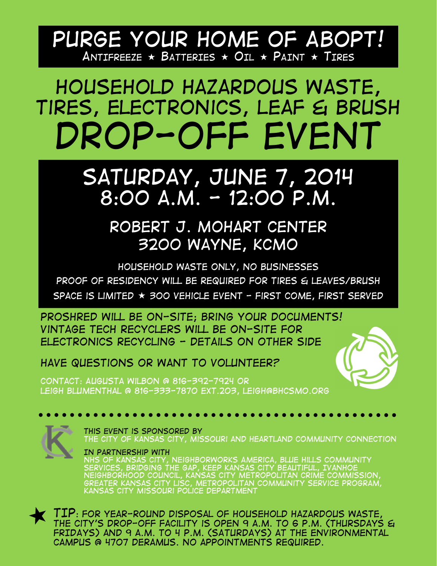### *Purge your home of ABOPT! ANTIFREEZE BATTERIES OIL PAINT TIRES*

## *Household Hazardous Waste, Tires, electronics, Leaf & Brush Drop-off Event*

### *Saturday, June 7, 2014 8:00 a.m. - 12:00 p.m.*

#### *Robert J. Mohart Center 3200 Wayne, KCMO*

*Household waste only, No businesses Proof of residency will be required for tires & leaves/brush Space is limited 300 Vehicle Event - First Come, First Served* 

*Proshred will be on-site; Bring your documents! Vintage tech recyclers will be on-site for electronics recycling - Details on other side* 

*Have Questions or want to volunteer?* 

*Contact: Augusta wilbon @ 816-392-7924 or leigh Blumenthal @ 816-333-7870 ext.203, leigh@bhcsmo.org* 



*This event is sponsored by the City of Kansas City, Missouri and Heartland Community Connection* 

*In partnership with nhs of Kansas City, neighborworks America, Blue Hills Community Services, Bridging the Gap, Keep Kansas City Beautiful, Ivanhoe neighborhood council, Kansas City Metropolitan Crime Commission, greater Kansas city lisc, metropolitan community service program, Kansas City Missouri Police Department* 

*TIP: For year-round disposal of household hazardous waste, the City's drop-off facility is open 9 a.m. to 6 p.m. (Thursdays & FRIDAYS) and 9 a.m. to 4 p.m. (SATURDAYS) at the Environmental Campus @ 4707 Deramus. No appointments required.*